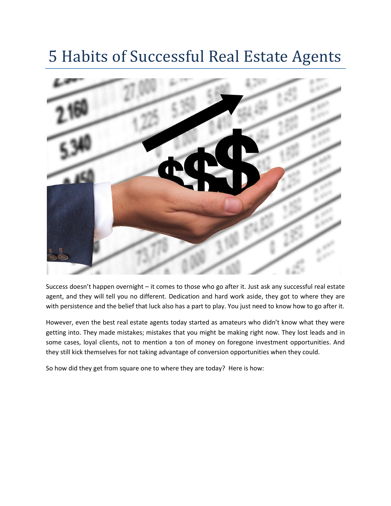# 5 Habits of Successful Real Estate Agents



Success doesn't happen overnight – it comes to those who go after it. Just ask any successful real estate agent, and they will tell you no different. Dedication and hard work aside, they got to where they are with persistence and the belief that luck also has a part to play. You just need to know how to go after it.

However, even the best real estate agents today started as amateurs who didn't know what they were getting into. They made mistakes; mistakes that you might be making right now. They lost leads and in some cases, loyal clients, not to mention a ton of money on foregone investment opportunities. And they still kick themselves for not taking advantage of conversion opportunities when they could.

So how did they get from square one to where they are today? Here is how: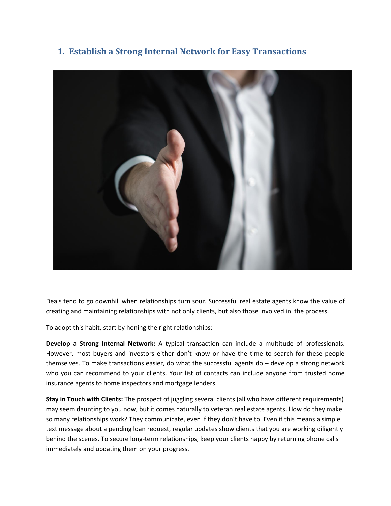## **1. Establish a Strong Internal Network for Easy Transactions**



Deals tend to go downhill when relationships turn sour. Successful real estate agents know the value of creating and maintaining relationships with not only clients, but also those involved in the process.

To adopt this habit, start by honing the right relationships:

**Develop a Strong Internal Network:** A typical transaction can include a multitude of professionals. However, most buyers and investors either don't know or have the time to search for these people themselves. To make transactions easier, do what the successful agents do – develop a strong network who you can recommend to your clients. Your list of contacts can include anyone from trusted home insurance agents to home inspectors and mortgage lenders.

**Stay in Touch with Clients:** The prospect of juggling several clients (all who have different requirements) may seem daunting to you now, but it comes naturally to veteran real estate agents. How do they make so many relationships work? They communicate, even if they don't have to. Even if this means a simple text message about a pending loan request, regular updates show clients that you are working diligently behind the scenes. To secure long-term relationships, keep your clients happy by returning phone calls immediately and updating them on your progress.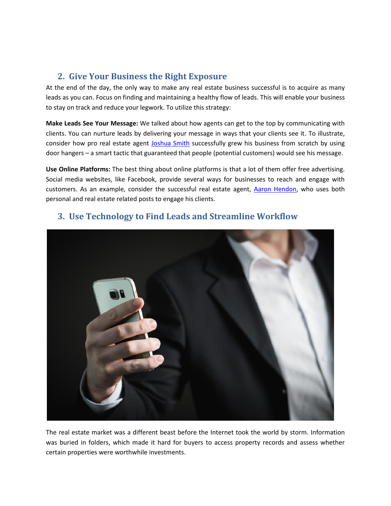## **2. Give Your Business the Right Exposure**

At the end of the day, the only way to make any real estate business successful is to acquire as many leads as you can. Focus on finding and maintaining a healthy flow of leads. This will enable your business to stay on track and reduce your legwork. To utilize this strategy:

**Make Leads See Your Message:** We talked about how agents can get to the top by communicating with clients. You can nurture leads by delivering your message in ways that your clients see it. To illustrate, consider how pro real estate agent [Joshua Smith](https://fitsmallbusiness.com/real-estate-door-hangers/) successfully grew his business from scratch by using door hangers – a smart tactic that guaranteed that people (potential customers) would see his message.

**Use Online Platforms:** The best thing about online platforms is that a lot of them offer free advertising. Social media websites, like Facebook, provide several ways for businesses to reach and engage with customers. As an example, consider the successful real estate agent, [Aaron Hendon,](https://investfourmore.com/2017/08/16/podcast-114-become-successful-real-estate-agent-aaron-hendon/) who uses both personal and real estate related posts to engage his clients.



## **3. Use Technology to Find Leads and Streamline Workflow**

The real estate market was a different beast before the Internet took the world by storm. Information was buried in folders, which made it hard for buyers to access property records and assess whether certain properties were worthwhile investments.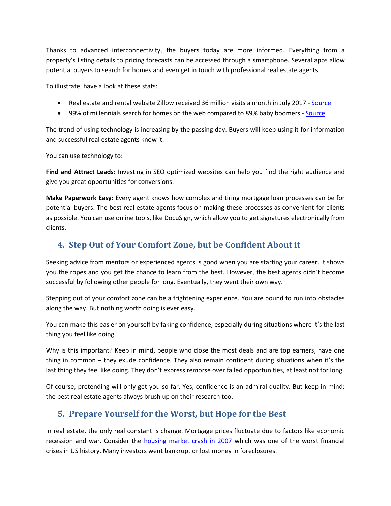Thanks to advanced interconnectivity, the buyers today are more informed. Everything from a property's listing details to pricing forecasts can be accessed through a smartphone. Several apps allow potential buyers to search for homes and even get in touch with professional real estate agents.

To illustrate, have a look at these stats:

- Real estate and rental website Zillow received 36 million visits a month in July 2017 [Source](https://www.statista.com/statistics/381468/most-popular-real-estate-websites-by-monthly-visits-usa/)
- 99% of millennials search for homes on the web compared to 89% baby boomers [Source](https://www.nar.realtor/sites/default/files/reports/2017/2017-real-estate-in-a-digital-age-03-10-2017.pdf)

The trend of using technology is increasing by the passing day. Buyers will keep using it for information and successful real estate agents know it.

You can use technology to:

**Find and Attract Leads:** Investing in SEO optimized websites can help you find the right audience and give you great opportunities for conversions.

**Make Paperwork Easy:** Every agent knows how complex and tiring mortgage loan processes can be for potential buyers. The best real estate agents focus on making these processes as convenient for clients as possible. You can use online tools, like DocuSign, which allow you to get signatures electronically from clients.

## **4. Step Out of Your Comfort Zone, but be Confident About it**

Seeking advice from mentors or experienced agents is good when you are starting your career. It shows you the ropes and you get the chance to learn from the best. However, the best agents didn't become successful by following other people for long. Eventually, they went their own way.

Stepping out of your comfort zone can be a frightening experience. You are bound to run into obstacles along the way. But nothing worth doing is ever easy.

You can make this easier on yourself by faking confidence, especially during situations where it's the last thing you feel like doing.

Why is this important? Keep in mind, people who close the most deals and are top earners, have one thing in common – they exude confidence. They also remain confident during situations when it's the last thing they feel like doing. They don't express remorse over failed opportunities, at least not for long.

Of course, pretending will only get you so far. Yes, confidence is an admiral quality. But keep in mind; the best real estate agents always brush up on their research too.

## **5. Prepare Yourself for the Worst, but Hope for the Best**

In real estate, the only real constant is change. Mortgage prices fluctuate due to factors like economic recession and war. Consider the [housing market crash in 2007](http://www.stockpickssystem.com/housing-market-crash-2007/) which was one of the worst financial crises in US history. Many investors went bankrupt or lost money in foreclosures.